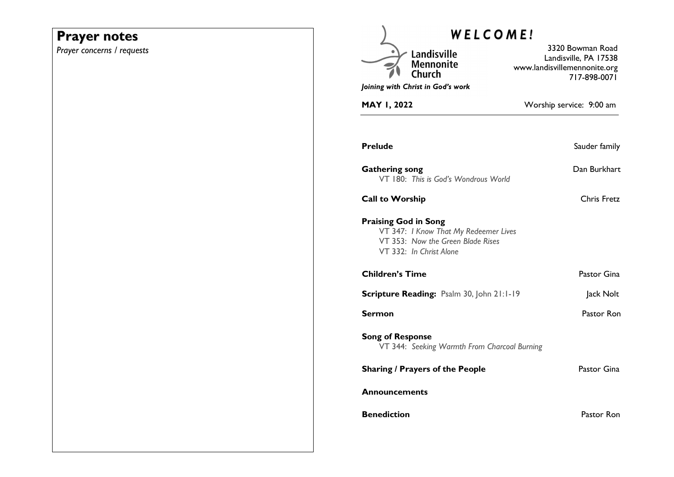## **Prayer notes**

*Prayer concerns / requests* 

| <b>WELCOME!</b>                                                                                                                      |                                                                                           |  |
|--------------------------------------------------------------------------------------------------------------------------------------|-------------------------------------------------------------------------------------------|--|
| Landisville<br>Mennonite<br>Church                                                                                                   | 3320 Bowman Road<br>Landisville, PA 17538<br>www.landisvillemennonite.org<br>717-898-0071 |  |
| Joining with Christ in God's work                                                                                                    |                                                                                           |  |
| MAY 1, 2022                                                                                                                          | Worship service: 9:00 am                                                                  |  |
| <b>Prelude</b>                                                                                                                       | Sauder family                                                                             |  |
| <b>Gathering song</b><br>VT 180: This is God's Wondrous World                                                                        | Dan Burkhart                                                                              |  |
| <b>Call to Worship</b>                                                                                                               | Chris Fretz                                                                               |  |
| <b>Praising God in Song</b><br>VT 347: I Know That My Redeemer Lives<br>VT 353: Now the Green Blade Rises<br>VT 332: In Christ Alone |                                                                                           |  |
| <b>Children's Time</b>                                                                                                               | Pastor Gina                                                                               |  |
| Scripture Reading: Psalm 30, John 21:1-19                                                                                            | Jack Nolt                                                                                 |  |
| Sermon                                                                                                                               | Pastor Ron                                                                                |  |
| <b>Song of Response</b><br>VT 344: Seeking Warmth From Charcoal Burning                                                              |                                                                                           |  |
| <b>Sharing / Prayers of the People</b>                                                                                               | Pastor Gina                                                                               |  |
| <b>Announcements</b>                                                                                                                 |                                                                                           |  |
| <b>Benediction</b>                                                                                                                   | Pastor Ron                                                                                |  |